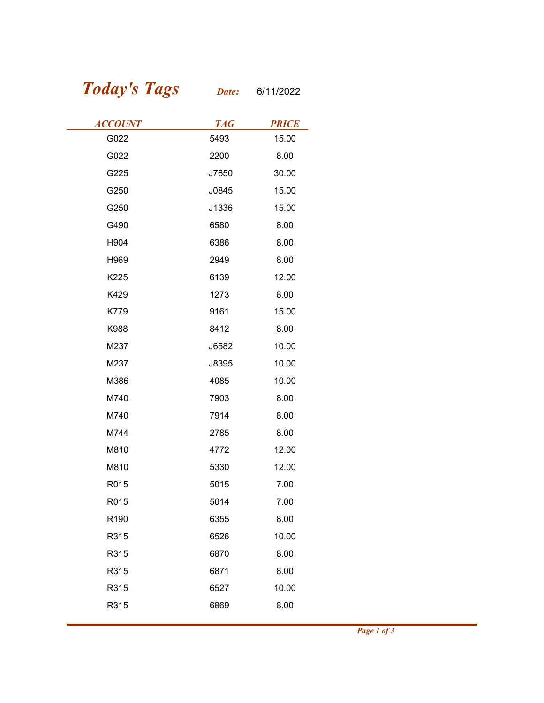## Today's Tags Date: 6/11/2022

| <b>Today's Tags</b> | Date:      | 6/11/2022    |
|---------------------|------------|--------------|
| <b>ACCOUNT</b>      | <b>TAG</b> | <b>PRICE</b> |
| G022                | 5493       | 15.00        |
| G022                | 2200       | 8.00         |
| G225                | J7650      | 30.00        |
| G250                | J0845      | 15.00        |
| G250                | J1336      | 15.00        |
| G490                | 6580       | 8.00         |
| H904                | 6386       | 8.00         |
| H969                | 2949       | 8.00         |
| K225                | 6139       | 12.00        |
| K429                | 1273       | 8.00         |
| K779                | 9161       | 15.00        |
| K988                | 8412       | 8.00         |
| M237                | J6582      | 10.00        |
| M237                | J8395      | 10.00        |
| M386                | 4085       | 10.00        |
| M740                | 7903       | 8.00         |
| M740                | 7914       | 8.00         |
| M744                | 2785       | 8.00         |
| M810                | 4772       | 12.00        |
| M810                | 5330       | 12.00        |
| R015                | 5015       | 7.00         |
| R015                | 5014       | 7.00         |
| R190                | 6355       | 8.00         |
| R315                | 6526       | 10.00        |
| R315                | 6870       | 8.00         |
| R315                | 6871       | 8.00         |
| R315                | 6527       | 10.00        |
| R315                | 6869       | 8.00         |
|                     |            |              |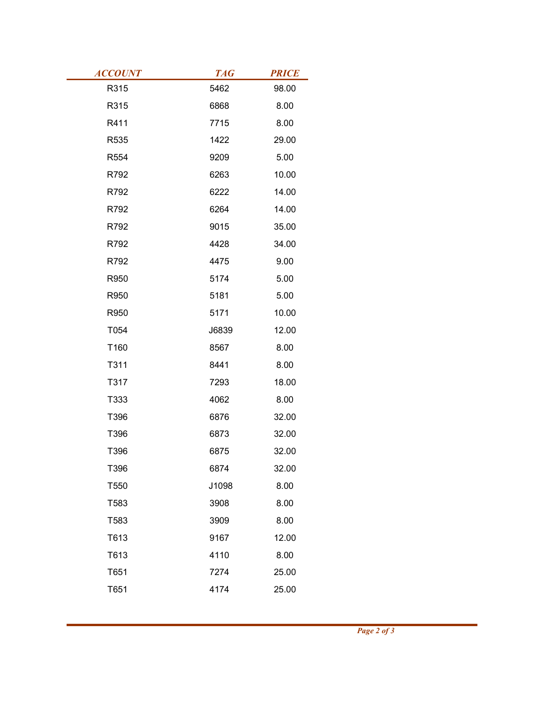| <b>ACCOUNT</b> | <b>TAG</b>   | <b>PRICE</b>  |
|----------------|--------------|---------------|
| R315           | 5462         | 98.00         |
| R315           | 6868         | 8.00          |
| R411           | 7715         | 8.00          |
| R535           | 1422         | 29.00         |
| R554           | 9209         | 5.00          |
| R792           | 6263         | 10.00         |
| R792           | 6222         | 14.00         |
| R792           | 6264         | 14.00         |
| R792           | 9015         | 35.00         |
| R792<br>R792   | 4428         | 34.00<br>9.00 |
|                | 4475<br>5174 |               |
| R950           |              | 5.00          |
| R950           | 5181         | 5.00<br>10.00 |
| R950           | 5171         |               |
| T054           | J6839        | 12.00         |
| T160<br>T311   | 8567<br>8441 | 8.00          |
| T317           | 7293         | 8.00<br>18.00 |
| T333           | 4062         | 8.00          |
| T396           | 6876         | 32.00         |
| T396           | 6873         | 32.00         |
| T396           | 6875         | 32.00         |
| T396           | 6874         | 32.00         |
| T550           | J1098        | 8.00          |
| T583           | 3908         | 8.00          |
| T583           | 3909         | 8.00          |
| T613           | 9167         | 12.00         |
| T613           | 4110         | 8.00          |
| T651           | 7274         | 25.00         |
|                | 4174         |               |